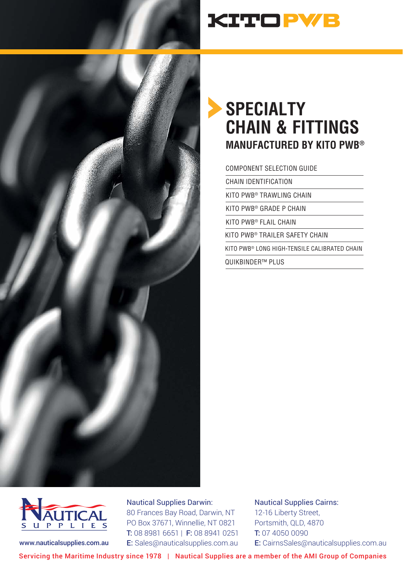

# **KITOPWB**

## **SPECIALTY CHAIN & FITTINGS MANUFACTURED BY KITO PWB®**

#### COMPONENT SELECTION GUIDE

CHAIN IDENTIFICATION

KITO PWB® TRAWLING CHAIN

KITO PWB® GRADE P CHAIN

KITO PWB® FLAIL CHAIN

KITO PWB® TRAILER SAFETY CHAIN

KITO PWB® LONG HIGH-TENSILE CALIBRATED CHAIN

QUIKBINDER™ PLUS



#### Nautical Supplies Darwin:

80 Frances Bay Road, Darwin, NT PO Box 37671, Winnellie, NT 0821 T: 08 8981 6651 | F: 08 8941 0251 www.nauticalsupplies.com.au E: Sales@nauticalsupplies.com.au

Nautical Supplies Cairns: 12-16 Liberty Street, Portsmith, QLD, 4870 T: 07 4050 0090 E: CairnsSales@nauticalsupplies.com.au

Servicing the Maritime Industry since 1978 | Nautical Supplies are a member of the AMI Group of Companies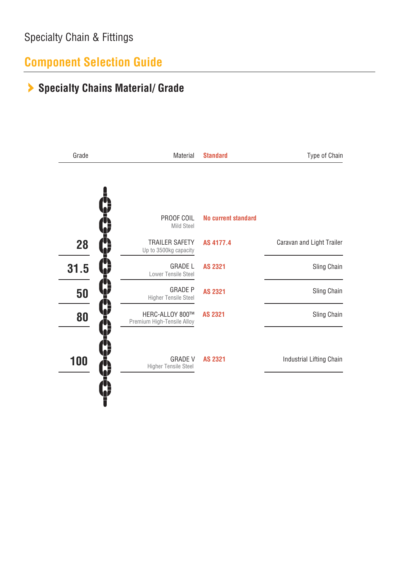## **Component Selection Guide**

## **Specialty Chains Material/ Grade**

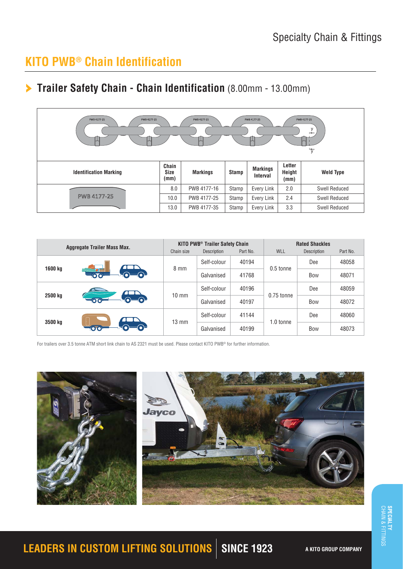## **KITO PWB® Chain Identification**

### **Trailer Safety Chain - Chain Identification** (8.00mm - 13.00mm)

| PWB 4177-25<br>PWB 4177-25<br>PWB 4177-25<br>PWB 4177-25<br>PWB 4177-25<br>$\frac{y}{1}$<br>$\overline{v}$ |                              |                 |       |                                    |                          |                      |
|------------------------------------------------------------------------------------------------------------|------------------------------|-----------------|-------|------------------------------------|--------------------------|----------------------|
| <b>Identification Marking</b>                                                                              | Chain<br><b>Size</b><br>(mm) | <b>Markings</b> | Stamp | <b>Markings</b><br><b>Interval</b> | Letter<br>Height<br>(mm) | <b>Weld Type</b>     |
|                                                                                                            | 8.0                          | PWB 4177-16     | Stamp | Every Link                         | 2.0                      | <b>Swell Reduced</b> |
| PWB 4177-25                                                                                                | 10.0                         | PWB 4177-25     | Stamp | Every Link                         | 2.4                      | <b>Swell Reduced</b> |
|                                                                                                            | 13.0                         | PWB 4177-35     | Stamp | Every Link                         | 3.3                      | <b>Swell Reduced</b> |

| <b>Aggregate Trailer Mass Max.</b> |   |                                                                                                                         | <b>KITO PWB<sup>®</sup> Trailer Safety Chain</b> |          | <b>Rated Shackles</b>                                           |             |          |
|------------------------------------|---|-------------------------------------------------------------------------------------------------------------------------|--------------------------------------------------|----------|-----------------------------------------------------------------|-------------|----------|
|                                    |   | Chain size                                                                                                              | Description                                      | Part No. | <b>WLL</b>                                                      | Description | Part No. |
| 1600 kg                            |   | Self-colour                                                                                                             | 40194                                            |          | Dee                                                             | 48058       |          |
|                                    |   |                                                                                                                         | Galvanised                                       | 41768    | 0.5 tonne<br>40196<br>0.75 tonne<br>40197<br>41144<br>1.0 tonne | Bow         | 48071    |
| 2500 kg                            |   | $8 \text{ mm}$<br>Self-colour<br>$10 \text{ mm}$<br>Galvanised<br>Self-colour<br>$13 \text{ mm}$<br>40199<br>Galvanised |                                                  |          |                                                                 | Dee         | 48059    |
|                                    | Ю |                                                                                                                         | <b>Bow</b>                                       | 48072    |                                                                 |             |          |
|                                    |   |                                                                                                                         |                                                  |          |                                                                 | Dee         | 48060    |
| 3500 kg                            |   |                                                                                                                         |                                                  |          |                                                                 | Bow         | 48073    |

For trailers over 3.5 tonne ATM short link chain to AS 2321 must be used. Please contact KITO PWB® for further information.



# **LEADERS IN CUSTOM LIFTING SOLUTIONS** SINCE 1923 A KITO GROUP COMPANY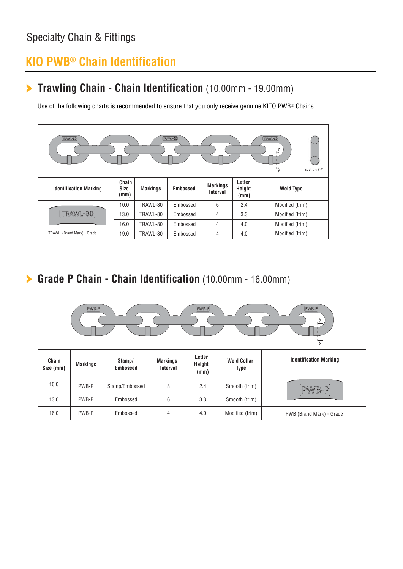## **KIO PWB® Chain Identification**

### **Trawling Chain - Chain Identification** (10.00mm - 19.00mm)

Use of the following charts is recommended to ensure that you only receive genuine KITO PWB® Chains.



**Grade P Chain - Chain Identification** (10.00mm - 16.00mm)

| PWB-P<br>PWB-P<br>PWB-P<br>$\frac{y}{1}$<br>$\overline{y}$ |                 |                           |                                    |                          |                                   |                               |  |
|------------------------------------------------------------|-----------------|---------------------------|------------------------------------|--------------------------|-----------------------------------|-------------------------------|--|
| Chain<br>Size (mm)                                         | <b>Markings</b> | Stamp/<br><b>Embossed</b> | <b>Markings</b><br><b>Interval</b> | Letter<br>Height<br>(mm) | <b>Weld Collar</b><br><b>Type</b> | <b>Identification Marking</b> |  |
| 10.0                                                       | PWB-P           | Stamp/Embossed            | 8                                  | 2.4                      | Smooth (trim)                     | PWB-P                         |  |
| 13.0                                                       | PWB-P           | Embossed                  | 6                                  | 3.3                      | Smooth (trim)                     |                               |  |
| 16.0                                                       | PWB-P           | Embossed                  | 4                                  | 4.0                      | Modified (trim)                   | PWB (Brand Mark) - Grade      |  |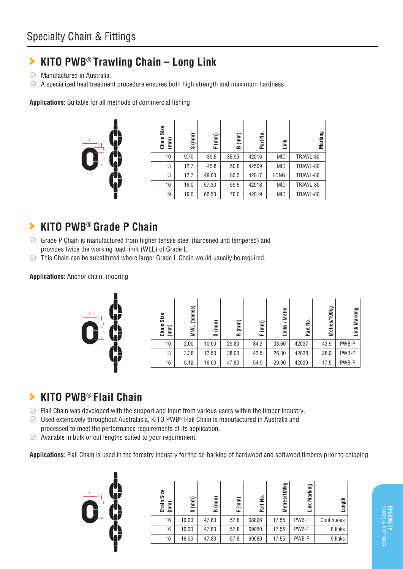#### **KITO PWB® Trawling Chain – Long Link** ≻

- $\odot$ Manufactured in Australia.
- $\oslash$  A specialized heat treatment procedure ensures both high strength and maximum hardness.

**Applications**: Suitable for all methods of commercial fishing



| Chain Size<br>(mm) | $\binom{mm}{mm}$<br>S | $\binom{m}{k}$<br>ட | $\binom{m}{k}$<br>œ | ٤<br>Part I | Link       | Marking  |
|--------------------|-----------------------|---------------------|---------------------|-------------|------------|----------|
| 10                 | 9.70                  | 39.5                | 35.95               | 42016       | <b>MID</b> | TRAWL-80 |
| 13                 | 12.7                  | 45.8                | 50.8                | 42509       | <b>MID</b> | TRAWL-80 |
| 13                 | 12.7                  | 49.00               | 80.5                | 42017       | LONG       | TRAWL-80 |
| 16                 | 16.0                  | 57.30               | 59.6                | 42018       | <b>MID</b> | TRAWL-80 |
| 19                 | 19.0                  | 66.50               | 76.0                | 42019       | <b>MID</b> | TRAWL-80 |

#### **KITO PWB® Grade P Chain**  $\blacktriangleright$

- $\odot$  Grade P Chain is manufactured from higher tensile steel (hardened and tempered) and provides twice the working load limit (WLL) of Grade L.
- This Chain can be substituted where larger Grade L Chain would usually be required.  $\odot$

**Applications**: Anchor chain, mooring



#### **KITO PWB® Flail Chain**  $\blacktriangleright$

- $\odot$  Flail Chain was developed with the support and input from various users within the timber industry.
- $\odot$  Used extensively throughout Australasia, KITO PWB<sup>®</sup> Flail Chain is manufactured in Australia and processed to meet the performance requirements of its application.
- $\oslash$  Available in bulk or cut lengths suited to your requirement.

**Applications**: Flail Chain is used in the forestry industry for the de-barking of hardwood and softwood timbers prior to chipping



CHAIN & FITTINGS **SPECIALTY**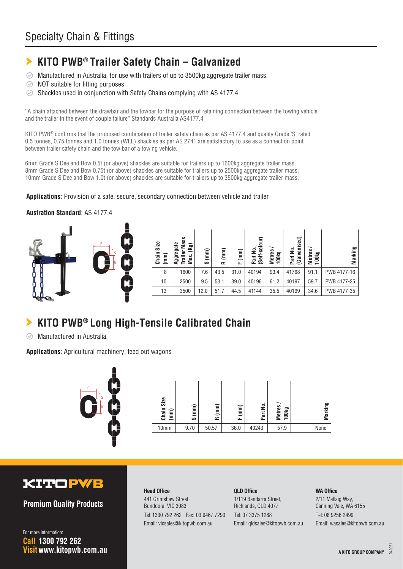#### **KITO PWB® Trailer Safety Chain – Galvanized** ⋗

- Manufactured in Australia, for use with trailers of up to 3500kg aggregate trailer mass.  $\odot$
- NOT suitable for lifting purposes  $\odot$
- $\odot$ Shackles used in conjunction with Safety Chains complying with AS 4177.4

"A chain attached between the drawbar and the towbar for the purpose of retaining connection between the towing vehicle and the trailer in the event of couple failure" Standards Australia AS4177.4

KITO PWB® confirms that the proposed combination of trailer safety chain as per AS 4177.4 and quality Grade 'S' rated 0.5 tonnes, 0.75 tonnes and 1.0 tonnes (WLL) shackles as per AS 2741 are satisfactory to use as a connection point between trailer safety chain and the tow bar of a towing vehicle.

6mm Grade S Dee and Bow 0.5t (or above) shackles are suitable for trailers up to 1600kg aggregate trailer mass. 8mm Grade S Dee and Bow 0.75t (or above) shackles are suitable for trailers up to 2500kg aggregate trailer mass. 10mm Grade S Dee and Bow 1.0t (or above) shackles are suitable for trailers up to 3500kg aggregate trailer mass.

**Applications**: Provision of a safe, secure, secondary connection between vehicle and trailer

#### **Austration Standard**: AS 4177.4



| Size<br>Chain<br>(mm) | Mass<br>egate<br>$(\mathsf{Kg})$<br>៵<br>Max<br>Trail<br>Ęg | (mm)<br>ဖ | (mm)<br>œ | (mm)<br>ட | colour)<br>౾<br>(Self-<br>Part | <b>Metres</b><br>100kg | vanised)<br>울<br>(Gal<br>Part | <b>Metres</b><br>100kg | Marking     |
|-----------------------|-------------------------------------------------------------|-----------|-----------|-----------|--------------------------------|------------------------|-------------------------------|------------------------|-------------|
| 8                     | 1600                                                        | 7.6       | 43.5      | 31.0      | 40194                          | 93.4                   | 41768                         | 91.1                   | PWB 4177-16 |
| 10                    | 2500                                                        | 9.5       | 53.1      | 39.0      | 40196                          | 61.2                   | 40197                         | 59.7                   | PWB 4177-25 |
| 13                    | 3500                                                        | 12.0      | 51.7      | 44.5      | 41144                          | 35.5                   | 40199                         | 34.6                   | PWB 4177-35 |

## **KITO PWB® Long High-Tensile Calibrated Chain Chain Size (mm) Aggregate Trailer Mass Max. (Kg) S (mm) R (mm) F (mm)**

Manufactured in Australia.  $\odot$ 

**Applications**: Agricultural machinery, feed out wagons





#### **KITOPWB**

**Premium Quality Products**

**Visit www.kitopwb.com.au 1300 792 262 Call** For more information:

#### **Head Office** 441 Grimshaw Street, Bundoora, VIC 3083 Tel: 1300 792 262 Fax: 03 9467 7290 Email: vicsales@kitopwb.com.au

**QLD Office** 1/119 Bandarra Street, Richlands, QLD 4077 Tel: 07 3375 1288 Email: qldsales@kitopwb.com.au

#### **WA Office**

2/11 Mallaig Way, Canning Vale, WA 6155 Tel: 08 9256 2499 Email: wasales@kitopwb.com.au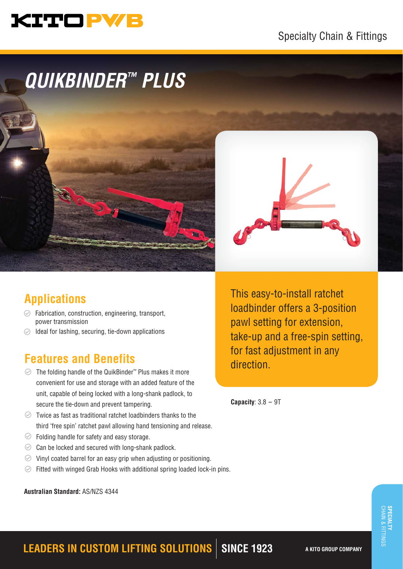# KITO PWB

## Specialty Chain & Fittings

# *QUIKBINDER™ PLUS*



## **Applications**

- $\odot$  Fabrication, construction, engineering, transport, power transmission
- $\oslash$  Ideal for lashing, securing, tie-down applications

## **Features and Benefits**

- The folding handle of the QuikBinder™ Plus makes it more convenient for use and storage with an added feature of the unit, capable of being locked with a long-shank padlock, to secure the tie-down and prevent tampering.
- $\odot$  Twice as fast as traditional ratchet loadbinders thanks to the third 'free spin' ratchet pawl allowing hand tensioning and release.
- $\heartsuit$  Folding handle for safety and easy storage.
- $\odot$  Can be locked and secured with long-shank padlock.
- $\odot$  Vinyl coated barrel for an easy grip when adjusting or positioning.
- $\odot$ Fitted with winged Grab Hooks with additional spring loaded lock-in pins.

**Australian Standard:** AS/NZS 4344

This easy-to-install ratchet loadbinder offers a 3-position pawl setting for extension, take-up and a free-spin setting, for fast adjustment in any direction.

**Capacity**: 3.8 - 9T

## **LEADERS IN CUSTOM LIFTING SOLUTIONS** SINCE 1923 A KITO GROUP COMPANY